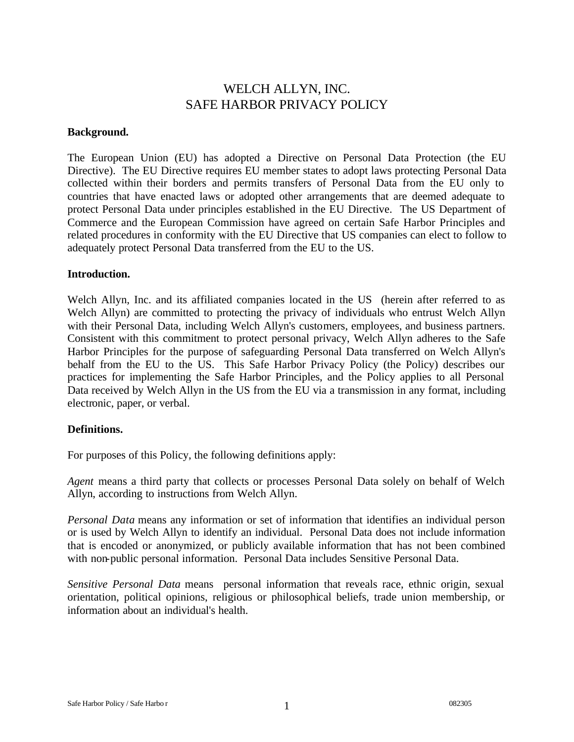# WELCH ALLYN, INC. SAFE HARBOR PRIVACY POLICY

#### **Background.**

The European Union (EU) has adopted a Directive on Personal Data Protection (the EU Directive). The EU Directive requires EU member states to adopt laws protecting Personal Data collected within their borders and permits transfers of Personal Data from the EU only to countries that have enacted laws or adopted other arrangements that are deemed adequate to protect Personal Data under principles established in the EU Directive. The US Department of Commerce and the European Commission have agreed on certain Safe Harbor Principles and related procedures in conformity with the EU Directive that US companies can elect to follow to adequately protect Personal Data transferred from the EU to the US.

#### **Introduction.**

Welch Allyn, Inc. and its affiliated companies located in the US (herein after referred to as Welch Allyn) are committed to protecting the privacy of individuals who entrust Welch Allyn with their Personal Data, including Welch Allyn's customers, employees, and business partners. Consistent with this commitment to protect personal privacy, Welch Allyn adheres to the Safe Harbor Principles for the purpose of safeguarding Personal Data transferred on Welch Allyn's behalf from the EU to the US. This Safe Harbor Privacy Policy (the Policy) describes our practices for implementing the Safe Harbor Principles, and the Policy applies to all Personal Data received by Welch Allyn in the US from the EU via a transmission in any format, including electronic, paper, or verbal.

## **Definitions.**

For purposes of this Policy, the following definitions apply:

*Agent* means a third party that collects or processes Personal Data solely on behalf of Welch Allyn, according to instructions from Welch Allyn.

*Personal Data* means any information or set of information that identifies an individual person or is used by Welch Allyn to identify an individual. Personal Data does not include information that is encoded or anonymized, or publicly available information that has not been combined with non-public personal information. Personal Data includes Sensitive Personal Data.

*Sensitive Personal Data* means personal information that reveals race, ethnic origin, sexual orientation, political opinions, religious or philosophical beliefs, trade union membership, or information about an individual's health.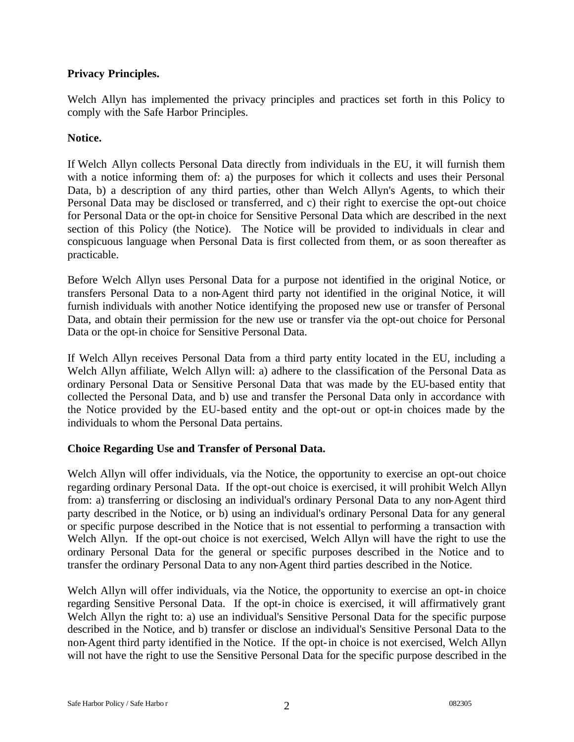# **Privacy Principles.**

Welch Allyn has implemented the privacy principles and practices set forth in this Policy to comply with the Safe Harbor Principles.

# **Notice.**

If Welch Allyn collects Personal Data directly from individuals in the EU, it will furnish them with a notice informing them of: a) the purposes for which it collects and uses their Personal Data, b) a description of any third parties, other than Welch Allyn's Agents, to which their Personal Data may be disclosed or transferred, and c) their right to exercise the opt-out choice for Personal Data or the opt-in choice for Sensitive Personal Data which are described in the next section of this Policy (the Notice). The Notice will be provided to individuals in clear and conspicuous language when Personal Data is first collected from them, or as soon thereafter as practicable.

Before Welch Allyn uses Personal Data for a purpose not identified in the original Notice, or transfers Personal Data to a non-Agent third party not identified in the original Notice, it will furnish individuals with another Notice identifying the proposed new use or transfer of Personal Data, and obtain their permission for the new use or transfer via the opt-out choice for Personal Data or the opt-in choice for Sensitive Personal Data.

If Welch Allyn receives Personal Data from a third party entity located in the EU, including a Welch Allyn affiliate, Welch Allyn will: a) adhere to the classification of the Personal Data as ordinary Personal Data or Sensitive Personal Data that was made by the EU-based entity that collected the Personal Data, and b) use and transfer the Personal Data only in accordance with the Notice provided by the EU-based entity and the opt-out or opt-in choices made by the individuals to whom the Personal Data pertains.

# **Choice Regarding Use and Transfer of Personal Data.**

Welch Allyn will offer individuals, via the Notice, the opportunity to exercise an opt-out choice regarding ordinary Personal Data. If the opt-out choice is exercised, it will prohibit Welch Allyn from: a) transferring or disclosing an individual's ordinary Personal Data to any non-Agent third party described in the Notice, or b) using an individual's ordinary Personal Data for any general or specific purpose described in the Notice that is not essential to performing a transaction with Welch Allyn. If the opt-out choice is not exercised, Welch Allyn will have the right to use the ordinary Personal Data for the general or specific purposes described in the Notice and to transfer the ordinary Personal Data to any non-Agent third parties described in the Notice.

Welch Allyn will offer individuals, via the Notice, the opportunity to exercise an opt-in choice regarding Sensitive Personal Data. If the opt-in choice is exercised, it will affirmatively grant Welch Allyn the right to: a) use an individual's Sensitive Personal Data for the specific purpose described in the Notice, and b) transfer or disclose an individual's Sensitive Personal Data to the non-Agent third party identified in the Notice. If the opt-in choice is not exercised, Welch Allyn will not have the right to use the Sensitive Personal Data for the specific purpose described in the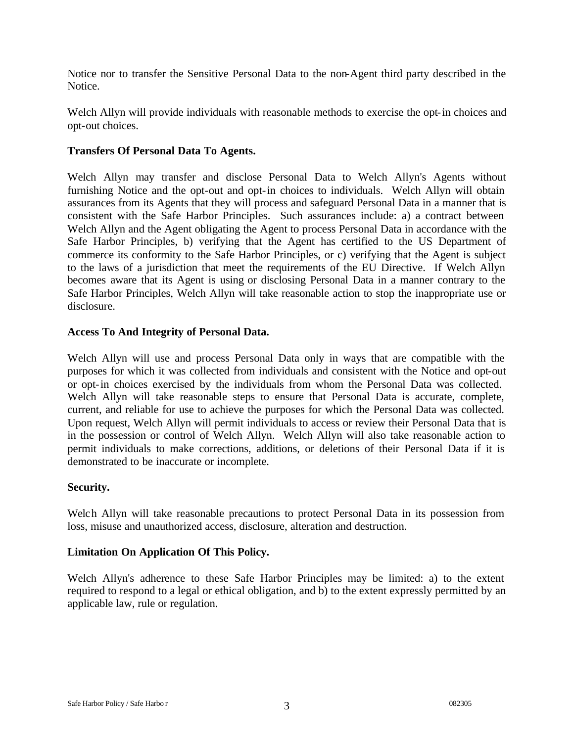Notice nor to transfer the Sensitive Personal Data to the non-Agent third party described in the Notice.

Welch Allyn will provide individuals with reasonable methods to exercise the opt-in choices and opt-out choices.

# **Transfers Of Personal Data To Agents.**

Welch Allyn may transfer and disclose Personal Data to Welch Allyn's Agents without furnishing Notice and the opt-out and opt-in choices to individuals. Welch Allyn will obtain assurances from its Agents that they will process and safeguard Personal Data in a manner that is consistent with the Safe Harbor Principles. Such assurances include: a) a contract between Welch Allyn and the Agent obligating the Agent to process Personal Data in accordance with the Safe Harbor Principles, b) verifying that the Agent has certified to the US Department of commerce its conformity to the Safe Harbor Principles, or c) verifying that the Agent is subject to the laws of a jurisdiction that meet the requirements of the EU Directive. If Welch Allyn becomes aware that its Agent is using or disclosing Personal Data in a manner contrary to the Safe Harbor Principles, Welch Allyn will take reasonable action to stop the inappropriate use or disclosure.

## **Access To And Integrity of Personal Data.**

Welch Allyn will use and process Personal Data only in ways that are compatible with the purposes for which it was collected from individuals and consistent with the Notice and opt-out or opt-in choices exercised by the individuals from whom the Personal Data was collected. Welch Allyn will take reasonable steps to ensure that Personal Data is accurate, complete, current, and reliable for use to achieve the purposes for which the Personal Data was collected. Upon request, Welch Allyn will permit individuals to access or review their Personal Data that is in the possession or control of Welch Allyn. Welch Allyn will also take reasonable action to permit individuals to make corrections, additions, or deletions of their Personal Data if it is demonstrated to be inaccurate or incomplete.

## **Security.**

Welch Allyn will take reasonable precautions to protect Personal Data in its possession from loss, misuse and unauthorized access, disclosure, alteration and destruction.

## **Limitation On Application Of This Policy.**

Welch Allyn's adherence to these Safe Harbor Principles may be limited: a) to the extent required to respond to a legal or ethical obligation, and b) to the extent expressly permitted by an applicable law, rule or regulation.